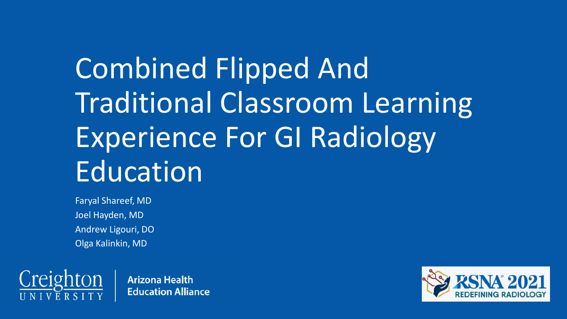# Combined Flipped And Traditional Classroom Learning Experience For GI Radiology Education

Faryal Shareef, MD Joel Hayden, MD Andrew Ligouri, DO Olga Kalinkin, MD



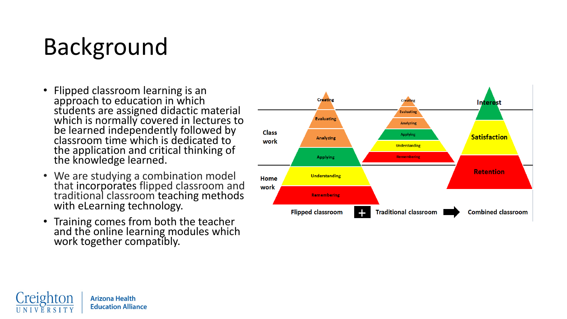## Background

- Flipped classroom learning is an approach to education in which students are assigned didactic material which is normally covered in lectures to be learned independently followed by classroom time which is dedicated to the application and critical thinking of the knowledge learned.
- We are studying a combination model that incorporates flipped classroom and<br>traditional classroom teaching methods<br>with eLearning technology.
- Training comes from both the teacher and the online learning modules which work together compatibly.



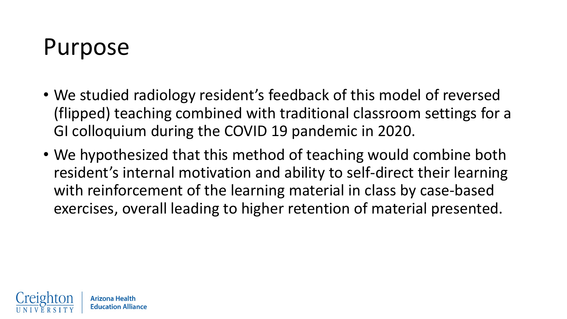#### Purpose

- We studied radiology resident's feedback of this model of reversed (flipped) teaching combined with traditional classroom settings for a GI colloquium during the COVID 19 pandemic in 2020.
- We hypothesized that this method of teaching would combine both resident's internal motivation and ability to self-direct their learning with reinforcement of the learning material in class by case-based exercises, overall leading to higher retention of material presented.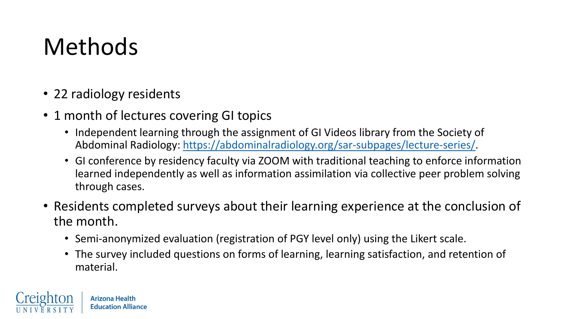#### Methods

• 22 radiology residents

- 1 month of lectures covering GI topics
	- Independent learning through the assignment of GI Videos library from the Society of Abdominal Radiology: [https://abdominalradiology.org/sar-subpages/lecture-series/.](about:blank)
	- GI conference by residency faculty via ZOOM with traditional teaching to enforce information learned independently as well as information assimilation via collective peer problem solving through cases.
- Residents completed surveys about their learning experience at the conclusion of the month.
	- Semi-anonymized evaluation (registration of PGY level only) using the Likert scale.
	- The survey included questions on forms of learning, learning satisfaction, and retention of material.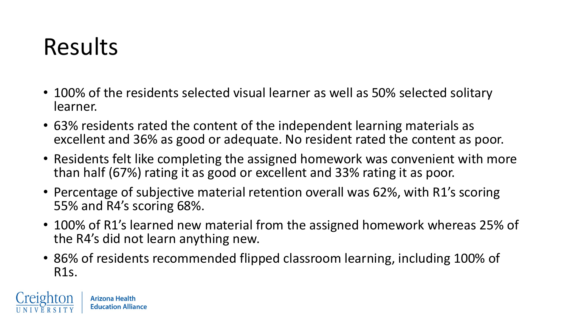#### Results

- 100% of the residents selected visual learner as well as 50% selected solitary learner.
- 63% residents rated the content of the independent learning materials as excellent and 36% as good or adequate. No resident rated the content as poor.
- Residents felt like completing the assigned homework was convenient with more than half (67%) rating it as good or excellent and 33% rating it as poor.
- Percentage of subjective material retention overall was 62%, with R1's scoring 55% and R4's scoring 68%.
- 100% of R1's learned new material from the assigned homework whereas 25% of the R4's did not learn anything new.
- 86% of residents recommended flipped classroom learning, including 100% of R1s.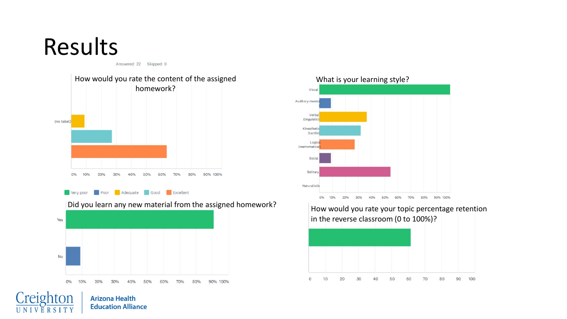#### Results

Answered: 22 Skipped: 0



Very poor Poor Adequate Good Excellent

**Arizona Health Education Alliance** 

Did you learn any new material from the assigned homework?<br>How would you rate your topic percentage retention





in the reverse classroom (0 to 100%)?

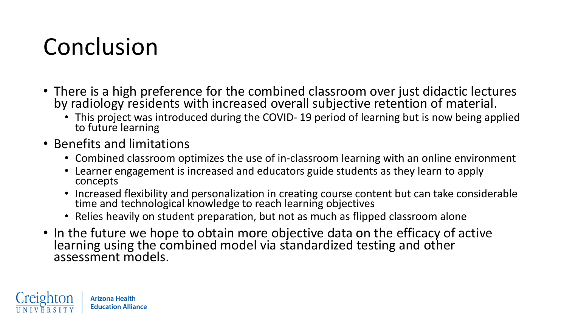#### Conclusion

- There is a high preference for the combined classroom over just didactic lectures by radiology residents with increased overall subjective retention of material.
	- This project was introduced during the COVID-19 period of learning but is now being applied to future learning
- Benefits and limitations
	- Combined classroom optimizes the use of in-classroom learning with an online environment
	- Learner engagement is increased and educators guide students as they learn to apply concepts
	- Increased flexibility and personalization in creating course content but can take considerable time and technological knowledge to reach learning objectives
	- Relies heavily on student preparation, but not as much as flipped classroom alone
- In the future we hope to obtain more objective data on the efficacy of active learning using the combined model via standardized testing and other assessment models.